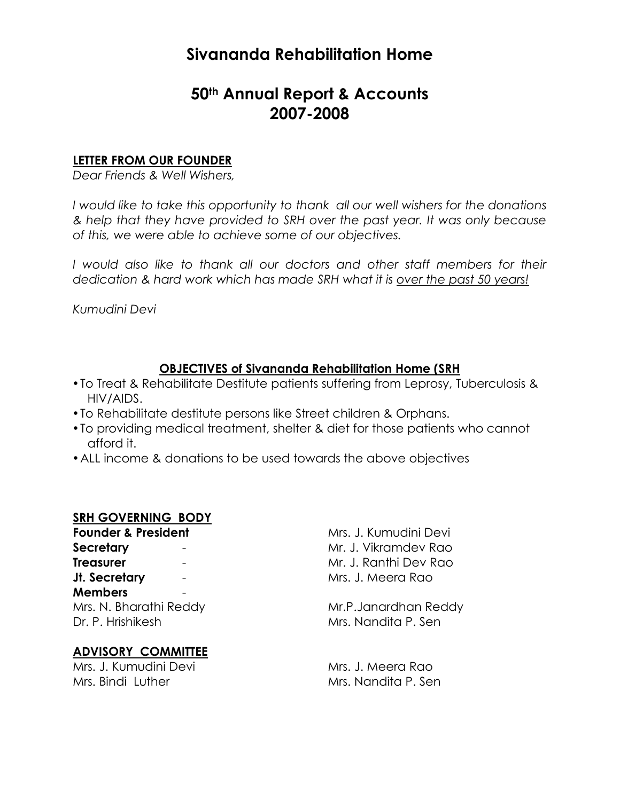# **Sivananda Rehabilitation Home**

# **50th Annual Report & Accounts 2007-2008**

## **LETTER FROM OUR FOUNDER**

*Dear Friends & Well Wishers,*

*I would like to take this opportunity to thank all our well wishers for the donations & help that they have provided to SRH over the past year. It was only because of this, we were able to achieve some of our objectives.*

*I would also like to thank all our doctors and other staff members for their dedication & hard work which has made SRH what it is over the past 50 years!*

*Kumudini Devi*

# **OBJECTIVES of Sivananda Rehabilitation Home (SRH**

- To Treat & Rehabilitate Destitute patients suffering from Leprosy, Tuberculosis & HIV/AIDS.
- To Rehabilitate destitute persons like Street children & Orphans.
- To providing medical treatment, shelter & diet for those patients who cannot afford it.
- •ALL income & donations to be used towards the above objectives

#### **SRH GOVERNING BODY**

**Founder & President** Mrs. J. Kumudini Devi **Secretary - Mr. J. Vikramdev Rao Treasurer** - Treasurer - Mr. J. Ranthi Dev Rao **Jt. Secretary** - **Mrs. J. Meera Rao Members** - Dr. P. Hrishikesh Mrs. Nandita P. Sen

#### **ADVISORY COMMITTEE**

Mrs. J. Kumudini Devi Mrs. J. Meera Rao Mrs. Bindi Luther Mrs. Nandita P. Sen

Mrs. N. Bharathi Reddy Mr.P.Janardhan Reddy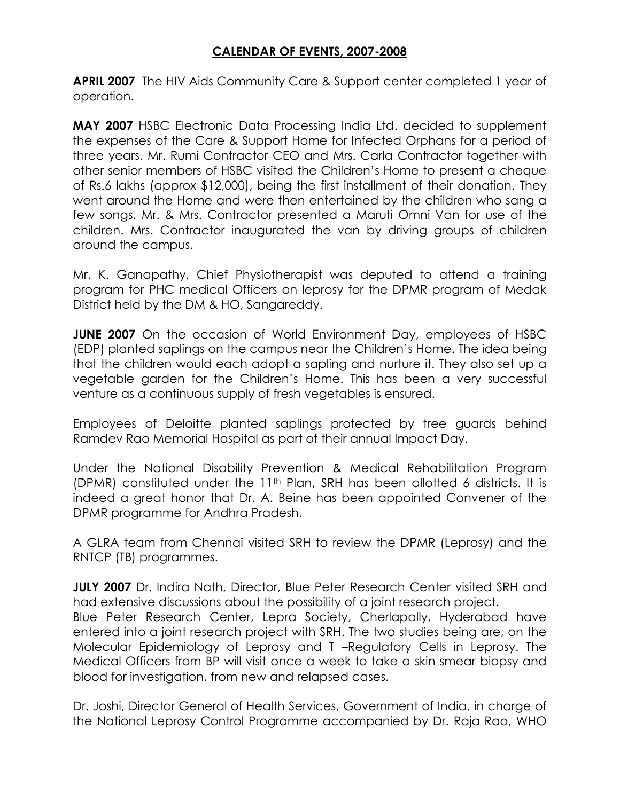# **CALENDAR OF EVENTS, 2007-2008**

**APRIL 2007** The HIV Aids Community Care & Support center completed 1 year of operation.

**MAY 2007** HSBC Electronic Data Processing India Ltd. decided to supplement the expenses of the Care & Support Home for Infected Orphans for a period of three years. Mr. Rumi Contractor CEO and Mrs. Carla Contractor together with other senior members of HSBC visited the Children's Home to present a cheque of Rs.6 lakhs (approx \$12,000), being the first installment of their donation. They went around the Home and were then entertained by the children who sang a few songs. Mr. & Mrs. Contractor presented a Maruti Omni Van for use of the children. Mrs. Contractor inaugurated the van by driving groups of children around the campus.

Mr. K. Ganapathy, Chief Physiotherapist was deputed to attend a training program for PHC medical Officers on leprosy for the DPMR program of Medak District held by the DM & HO, Sangareddy.

**JUNE 2007** On the occasion of World Environment Day, employees of HSBC (EDP) planted saplings on the campus near the Children's Home. The idea being that the children would each adopt a sapling and nurture it. They also set up a vegetable garden for the Children's Home. This has been a very successful venture as a continuous supply of fresh vegetables is ensured.

Employees of Deloitte planted saplings protected by tree guards behind Ramdev Rao Memorial Hospital as part of their annual Impact Day.

Under the National Disability Prevention & Medical Rehabilitation Program (DPMR) constituted under the 11th Plan, SRH has been allotted 6 districts. It is indeed a great honor that Dr. A. Beine has been appointed Convener of the DPMR programme for Andhra Pradesh.

A GLRA team from Chennai visited SRH to review the DPMR (Leprosy) and the RNTCP (TB) programmes.

**JULY 2007** Dr. Indira Nath, Director, Blue Peter Research Center visited SRH and had extensive discussions about the possibility of a joint research project.

Blue Peter Research Center, Lepra Society, Cherlapally, Hyderabad have entered into a joint research project with SRH. The two studies being are, on the Molecular Epidemiology of Leprosy and T –Regulatory Cells in Leprosy. The Medical Officers from BP will visit once a week to take a skin smear biopsy and blood for investigation, from new and relapsed cases.

Dr. Joshi, Director General of Health Services, Government of India, in charge of the National Leprosy Control Programme accompanied by Dr. Raja Rao, WHO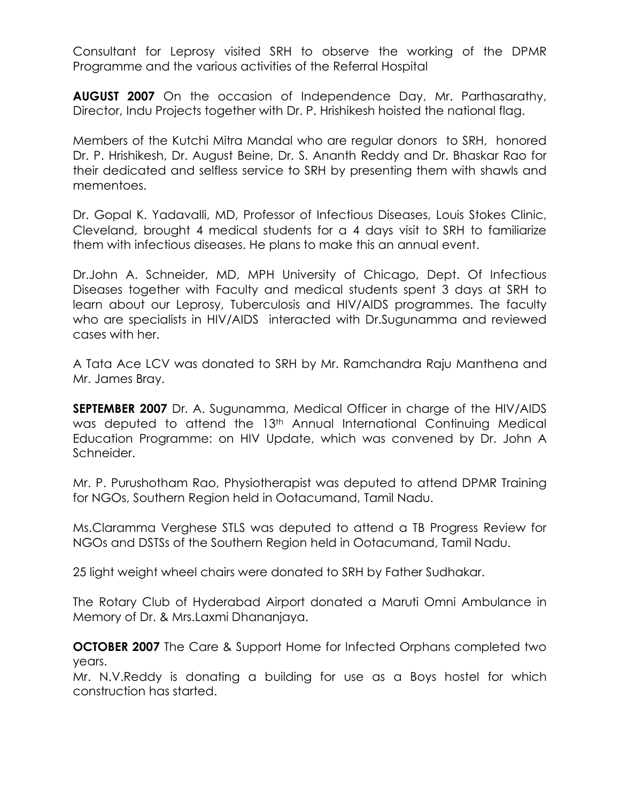Consultant for Leprosy visited SRH to observe the working of the DPMR Programme and the various activities of the Referral Hospital

**AUGUST 2007** On the occasion of Independence Day, Mr. Parthasarathy, Director, Indu Projects together with Dr. P. Hrishikesh hoisted the national flag.

Members of the Kutchi Mitra Mandal who are regular donors to SRH, honored Dr. P. Hrishikesh, Dr. August Beine, Dr. S. Ananth Reddy and Dr. Bhaskar Rao for their dedicated and selfless service to SRH by presenting them with shawls and mementoes.

Dr. Gopal K. Yadavalli, MD, Professor of Infectious Diseases, Louis Stokes Clinic, Cleveland, brought 4 medical students for a 4 days visit to SRH to familiarize them with infectious diseases. He plans to make this an annual event.

Dr.John A. Schneider, MD, MPH University of Chicago, Dept. Of Infectious Diseases together with Faculty and medical students spent 3 days at SRH to learn about our Leprosy, Tuberculosis and HIV/AIDS programmes. The faculty who are specialists in HIV/AIDS interacted with Dr. Sugunamma and reviewed cases with her.

A Tata Ace LCV was donated to SRH by Mr. Ramchandra Raju Manthena and Mr. James Bray.

**SEPTEMBER 2007** Dr. A. Sugunamma, Medical Officer in charge of the HIV/AIDS was deputed to attend the 13<sup>th</sup> Annual International Continuing Medical Education Programme: on HIV Update, which was convened by Dr. John A Schneider.

Mr. P. Purushotham Rao, Physiotherapist was deputed to attend DPMR Training for NGOs, Southern Region held in Ootacumand, Tamil Nadu.

Ms.Claramma Verghese STLS was deputed to attend a TB Progress Review for NGOs and DSTSs of the Southern Region held in Ootacumand, Tamil Nadu.

25 light weight wheel chairs were donated to SRH by Father Sudhakar.

The Rotary Club of Hyderabad Airport donated a Maruti Omni Ambulance in Memory of Dr. & Mrs.Laxmi Dhananjaya.

**OCTOBER 2007** The Care & Support Home for Infected Orphans completed two years.

Mr. N.V.Reddy is donating a building for use as a Boys hostel for which construction has started.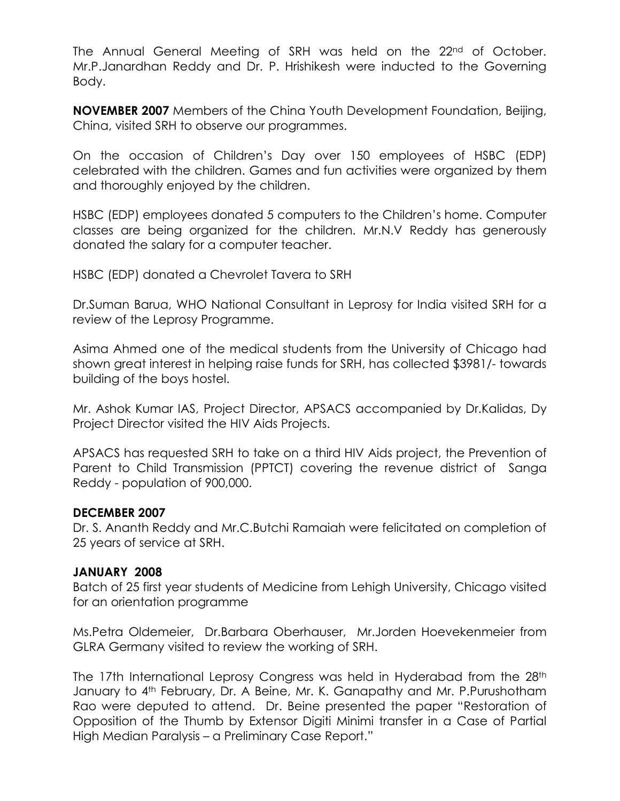The Annual General Meeting of SRH was held on the 22<sup>nd</sup> of October. Mr.P.Janardhan Reddy and Dr. P. Hrishikesh were inducted to the Governing Body.

**NOVEMBER 2007** Members of the China Youth Development Foundation, Beijing, China, visited SRH to observe our programmes.

On the occasion of Children's Day over 150 employees of HSBC (EDP) celebrated with the children. Games and fun activities were organized by them and thoroughly enjoyed by the children.

HSBC (EDP) employees donated 5 computers to the Children's home. Computer classes are being organized for the children. Mr.N.V Reddy has generously donated the salary for a computer teacher.

HSBC (EDP) donated a Chevrolet Tavera to SRH

Dr.Suman Barua, WHO National Consultant in Leprosy for India visited SRH for a review of the Leprosy Programme.

Asima Ahmed one of the medical students from the University of Chicago had shown great interest in helping raise funds for SRH, has collected \$3981/- towards building of the boys hostel.

Mr. Ashok Kumar IAS, Project Director, APSACS accompanied by Dr.Kalidas, Dy Project Director visited the HIV Aids Projects.

APSACS has requested SRH to take on a third HIV Aids project, the Prevention of Parent to Child Transmission (PPTCT) covering the revenue district of Sanga Reddy - population of 900,000.

#### **DECEMBER 2007**

Dr. S. Ananth Reddy and Mr.C.Butchi Ramaiah were felicitated on completion of 25 years of service at SRH.

#### **JANUARY 2008**

Batch of 25 first year students of Medicine from Lehigh University, Chicago visited for an orientation programme

Ms.Petra Oldemeier, Dr.Barbara Oberhauser, Mr.Jorden Hoevekenmeier from GLRA Germany visited to review the working of SRH.

The 17th International Leprosy Congress was held in Hyderabad from the 28<sup>th</sup> January to 4th February, Dr. A Beine, Mr. K. Ganapathy and Mr. P.Purushotham Rao were deputed to attend. Dr. Beine presented the paper "Restoration of Opposition of the Thumb by Extensor Digiti Minimi transfer in a Case of Partial High Median Paralysis – a Preliminary Case Report."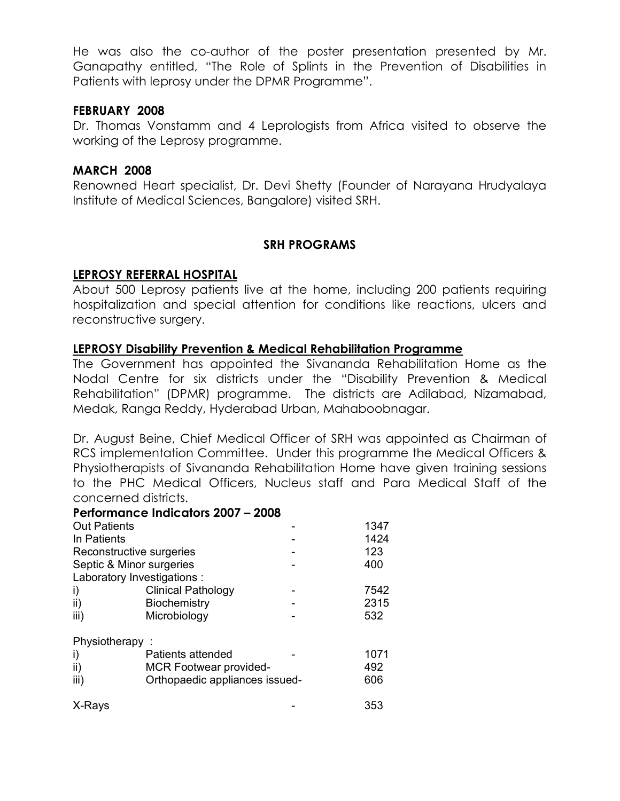He was also the co-author of the poster presentation presented by Mr. Ganapathy entitled, "The Role of Splints in the Prevention of Disabilities in Patients with leprosy under the DPMR Programme".

#### **FEBRUARY 2008**

Dr. Thomas Vonstamm and 4 Leprologists from Africa visited to observe the working of the Leprosy programme.

## **MARCH 2008**

Renowned Heart specialist, Dr. Devi Shetty (Founder of Narayana Hrudyalaya Institute of Medical Sciences, Bangalore) visited SRH.

## **SRH PROGRAMS**

## **LEPROSY REFERRAL HOSPITAL**

About 500 Leprosy patients live at the home, including 200 patients requiring hospitalization and special attention for conditions like reactions, ulcers and reconstructive surgery.

## **LEPROSY Disability Prevention & Medical Rehabilitation Programme**

The Government has appointed the Sivananda Rehabilitation Home as the Nodal Centre for six districts under the "Disability Prevention & Medical Rehabilitation" (DPMR) programme. The districts are Adilabad, Nizamabad, Medak, Ranga Reddy, Hyderabad Urban, Mahaboobnagar.

Dr. August Beine, Chief Medical Officer of SRH was appointed as Chairman of RCS implementation Committee. Under this programme the Medical Officers & Physiotherapists of Sivananda Rehabilitation Home have given training sessions to the PHC Medical Officers, Nucleus staff and Para Medical Staff of the concerned districts.

#### **Performance Indicators 2007 – 2008**

| <b>Out Patients</b>      |                                | 1347 |
|--------------------------|--------------------------------|------|
| In Patients              |                                | 1424 |
| Reconstructive surgeries | 123                            |      |
| Septic & Minor surgeries | 400                            |      |
|                          | Laboratory Investigations :    |      |
| i)                       | <b>Clinical Pathology</b>      | 7542 |
| ii)                      | Biochemistry                   | 2315 |
| iii)                     | Microbiology                   | 532  |
| Physiotherapy            |                                |      |
| I)                       | Patients attended              | 1071 |
| ii)                      | <b>MCR Footwear provided-</b>  | 492  |
| iii)                     | Orthopaedic appliances issued- | 606  |
| X-Rays                   |                                | 353  |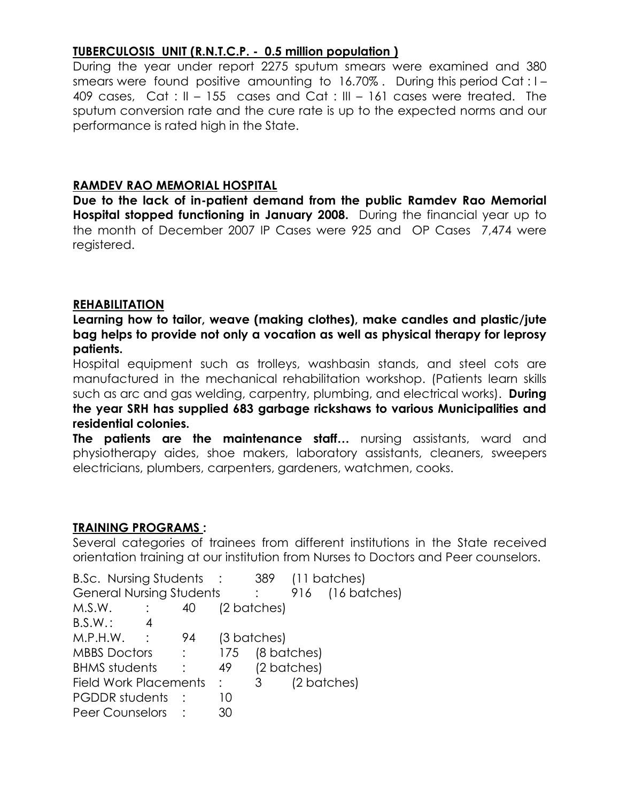# **TUBERCULOSIS UNIT (R.N.T.C.P. - 0.5 million population )**

During the year under report 2275 sputum smears were examined and 380 smears were found positive amounting to 16.70% . During this period Cat : I – 409 cases, Cat : II – 155 cases and Cat : III – 161 cases were treated. The sputum conversion rate and the cure rate is up to the expected norms and our performance is rated high in the State.

# **RAMDEV RAO MEMORIAL HOSPITAL**

**Due to the lack of in-patient demand from the public Ramdev Rao Memorial Hospital stopped functioning in January 2008.** During the financial year up to the month of December 2007 IP Cases were 925 and OP Cases 7,474 were registered.

# **REHABILITATION**

**Learning how to tailor, weave (making clothes), make candles and plastic/jute bag helps to provide not only a vocation as well as physical therapy for leprosy patients.**

Hospital equipment such as trolleys, washbasin stands, and steel cots are manufactured in the mechanical rehabilitation workshop. (Patients learn skills such as arc and gas welding, carpentry, plumbing, and electrical works). **During the year SRH has supplied 683 garbage rickshaws to various Municipalities and residential colonies.**

**The patients are the maintenance staff…** nursing assistants, ward and physiotherapy aides, shoe makers, laboratory assistants, cleaners, sweepers electricians, plumbers, carpenters, gardeners, watchmen, cooks.

# **TRAINING PROGRAMS :**

Several categories of trainees from different institutions in the State received orientation training at our institution from Nurses to Doctors and Peer counselors.

|    |                                                        | 389                                         |                                             | (11 batches)               |
|----|--------------------------------------------------------|---------------------------------------------|---------------------------------------------|----------------------------|
|    |                                                        |                                             |                                             | 916 (16 batches)           |
| 40 |                                                        |                                             |                                             |                            |
|    |                                                        |                                             |                                             |                            |
| 94 |                                                        |                                             |                                             |                            |
|    | 175                                                    |                                             |                                             |                            |
|    | 49                                                     |                                             |                                             |                            |
|    |                                                        |                                             | (2 batches)                                 |                            |
|    | 10                                                     |                                             |                                             |                            |
|    | 30                                                     |                                             |                                             |                            |
|    | <b>B.Sc.</b> Nursing Students<br>Field Work Placements | $\sim$ :<br><b>General Nursing Students</b> | (2 batches)<br>(3 batches)<br>$\mathcal{S}$ | (8 batches)<br>(2 batches) |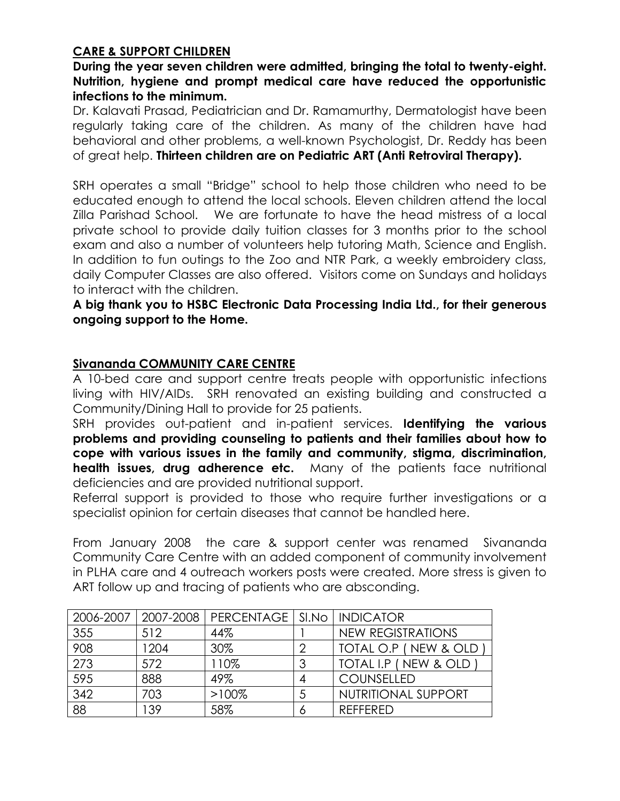# **CARE & SUPPORT CHILDREN**

# **During the year seven children were admitted, bringing the total to twenty-eight. Nutrition, hygiene and prompt medical care have reduced the opportunistic infections to the minimum.**

Dr. Kalavati Prasad, Pediatrician and Dr. Ramamurthy, Dermatologist have been regularly taking care of the children. As many of the children have had behavioral and other problems, a well-known Psychologist, Dr. Reddy has been of great help. **Thirteen children are on Pediatric ART (Anti Retroviral Therapy).**

SRH operates a small "Bridge" school to help those children who need to be educated enough to attend the local schools. Eleven children attend the local Zilla Parishad School. We are fortunate to have the head mistress of a local private school to provide daily tuition classes for 3 months prior to the school exam and also a number of volunteers help tutoring Math, Science and English. In addition to fun outings to the Zoo and NTR Park, a weekly embroidery class, daily Computer Classes are also offered. Visitors come on Sundays and holidays to interact with the children.

**A big thank you to HSBC Electronic Data Processing India Ltd., for their generous ongoing support to the Home.**

# **Sivananda COMMUNITY CARE CENTRE**

A 10-bed care and support centre treats people with opportunistic infections living with HIV/AIDs. SRH renovated an existing building and constructed a Community/Dining Hall to provide for 25 patients.

SRH provides out-patient and in-patient services. **Identifying the various problems and providing counseling to patients and their families about how to cope with various issues in the family and community, stigma, discrimination, health issues, drug adherence etc.** Many of the patients face nutritional deficiencies and are provided nutritional support.

Referral support is provided to those who require further investigations or a specialist opinion for certain diseases that cannot be handled here.

From January 2008 the care & support center was renamed Sivananda Community Care Centre with an added component of community involvement in PLHA care and 4 outreach workers posts were created. More stress is given to ART follow up and tracing of patients who are absconding.

| 2006-2007       |      | 2007-2008   PERCENTAGE   SI.No   INDICATOR |                          |
|-----------------|------|--------------------------------------------|--------------------------|
| 355             | 512  | 44%                                        | <b>NEW REGISTRATIONS</b> |
| 908             | 1204 | 30%                                        | TOTAL O.P (NEW & OLD     |
| 273             | 572  | 110%                                       | TOTAL I.P ( NEW & OLD    |
| 595             | 888  | 49%                                        | <b>COUNSELLED</b>        |
| 342             | 703  | $>100\%$                                   | NUTRITIONAL SUPPORT      |
| $\overline{88}$ | 139  | 58%                                        | RFFFFRFD                 |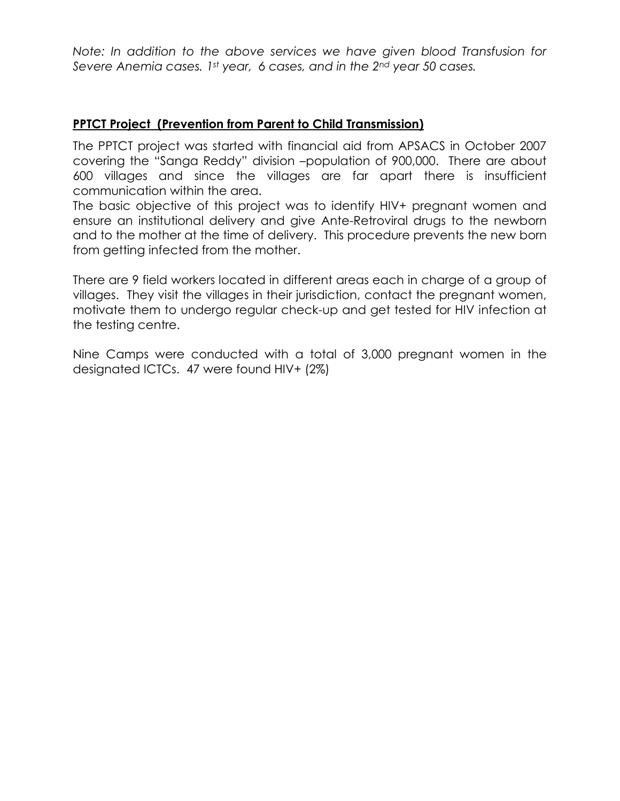*Note: In addition to the above services we have given blood Transfusion for Severe Anemia cases. 1st year, 6 cases, and in the 2nd year 50 cases.*

# **PPTCT Project (Prevention from Parent to Child Transmission)**

The PPTCT project was started with financial aid from APSACS in October 2007 covering the "Sanga Reddy" division –population of 900,000. There are about 600 villages and since the villages are far apart there is insufficient communication within the area.

The basic objective of this project was to identify HIV+ pregnant women and ensure an institutional delivery and give Ante-Retroviral drugs to the newborn and to the mother at the time of delivery. This procedure prevents the new born from getting infected from the mother.

There are 9 field workers located in different areas each in charge of a group of villages. They visit the villages in their jurisdiction, contact the pregnant women, motivate them to undergo regular check-up and get tested for HIV infection at the testing centre.

Nine Camps were conducted with a total of 3,000 pregnant women in the designated ICTCs. 47 were found HIV+ (2%)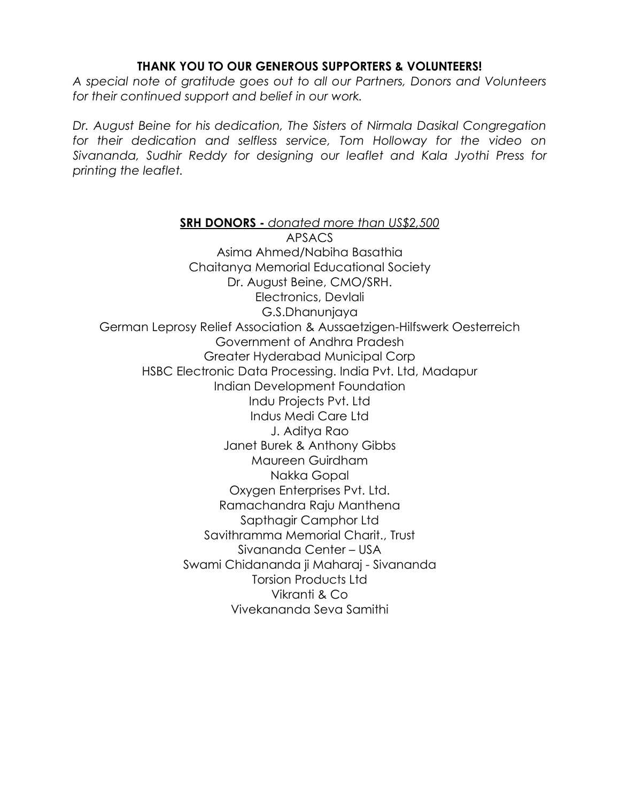## **THANK YOU TO OUR GENEROUS SUPPORTERS & VOLUNTEERS!**

*A special note of gratitude goes out to all our Partners, Donors and Volunteers for their continued support and belief in our work.*

*Dr. August Beine for his dedication, The Sisters of Nirmala Dasikal Congregation for their dedication and selfless service, Tom Holloway for the video on Sivananda, Sudhir Reddy for designing our leaflet and Kala Jyothi Press for printing the leaflet.*

**SRH DONORS -** *donated more than US\$2,500* APSACS Asima Ahmed/Nabiha Basathia Chaitanya Memorial Educational Society Dr. August Beine, CMO/SRH. Electronics, Devlali G.S.Dhanunjaya German Leprosy Relief Association & Aussaetzigen-Hilfswerk Oesterreich Government of Andhra Pradesh Greater Hyderabad Municipal Corp HSBC Electronic Data Processing. India Pvt. Ltd, Madapur Indian Development Foundation Indu Projects Pvt. Ltd Indus Medi Care Ltd J. Aditya Rao Janet Burek & Anthony Gibbs Maureen Guirdham Nakka Gopal Oxygen Enterprises Pvt. Ltd. Ramachandra Raju Manthena Sapthagir Camphor Ltd Savithramma Memorial Charit., Trust Sivananda Center – USA Swami Chidananda ji Maharaj - Sivananda Torsion Products Ltd Vikranti & Co Vivekananda Seva Samithi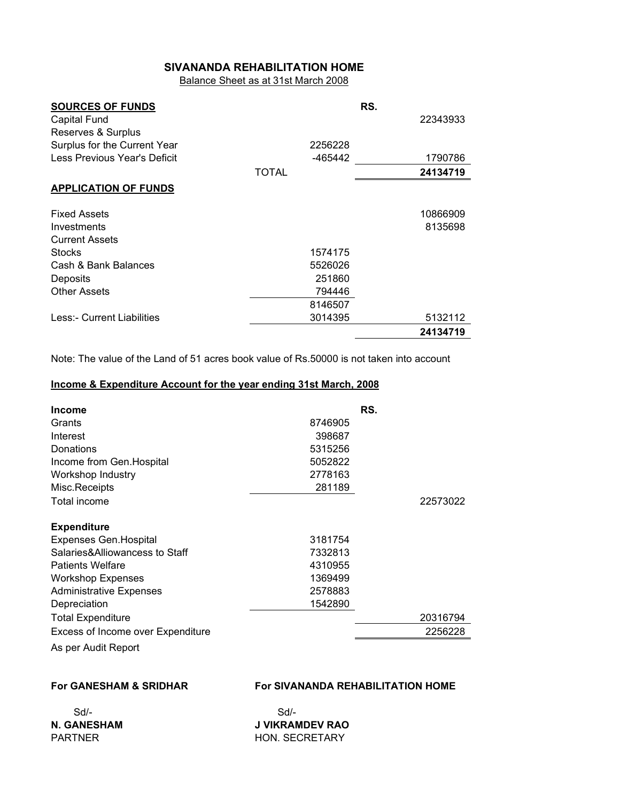#### **SIVANANDA REHABILITATION HOME**

Balance Sheet as at 31st March 2008

| <b>SOURCES OF FUNDS</b>      |              | RS.      |
|------------------------------|--------------|----------|
| Capital Fund                 |              | 22343933 |
| Reserves & Surplus           |              |          |
| Surplus for the Current Year | 2256228      |          |
| Less Previous Year's Deficit | -465442      | 1790786  |
|                              | <b>TOTAL</b> | 24134719 |
| <b>APPLICATION OF FUNDS</b>  |              |          |
| <b>Fixed Assets</b>          |              | 10866909 |
| Investments                  |              | 8135698  |
| <b>Current Assets</b>        |              |          |
| <b>Stocks</b>                | 1574175      |          |
| Cash & Bank Balances         | 5526026      |          |
| Deposits                     | 251860       |          |
| <b>Other Assets</b>          | 794446       |          |
|                              | 8146507      |          |
| Less:- Current Liabilities   | 3014395      | 5132112  |
|                              |              | 24134719 |

Note: The value of the Land of 51 acres book value of Rs.50000 is not taken into account

#### **Income & Expenditure Account for the year ending 31st March, 2008**

| <b>Income</b>                     |         | RS.      |
|-----------------------------------|---------|----------|
| Grants                            | 8746905 |          |
| Interest                          | 398687  |          |
| Donations                         | 5315256 |          |
| Income from Gen. Hospital         | 5052822 |          |
| Workshop Industry                 | 2778163 |          |
| Misc.Receipts                     | 281189  |          |
| Total income                      |         | 22573022 |
| <b>Expenditure</b>                |         |          |
| <b>Expenses Gen. Hospital</b>     | 3181754 |          |
| Salaries&Alliowancess to Staff    | 7332813 |          |
| <b>Patients Welfare</b>           | 4310955 |          |
| <b>Workshop Expenses</b>          | 1369499 |          |
| <b>Administrative Expenses</b>    | 2578883 |          |
| Depreciation                      | 1542890 |          |
| <b>Total Expenditure</b>          |         | 20316794 |
| Excess of Income over Expenditure |         | 2256228  |
| As per Audit Report               |         |          |

#### **For GANESHAM & SRIDHAR For SIVANANDA REHABILITATION HOME**

**N. GANESHAM J VIKRAMDEV RAO** PARTNER HON. SECRETARY

Sd/- Sd/-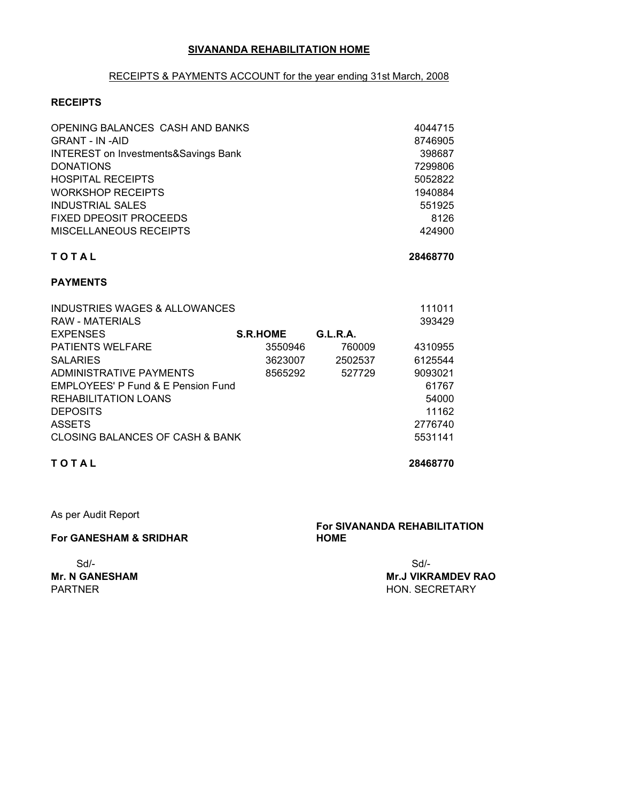#### **SIVANANDA REHABILITATION HOME**

#### RECEIPTS & PAYMENTS ACCOUNT for the year ending 31st March, 2008

#### **RECEIPTS**

| OPENING BALANCES CASH AND BANKS                 | 4044715 |
|-------------------------------------------------|---------|
| <b>GRANT - IN -AID</b>                          | 8746905 |
| <b>INTEREST on Investments&amp;Savings Bank</b> | 398687  |
| <b>DONATIONS</b>                                | 7299806 |
| <b>HOSPITAL RECEIPTS</b>                        | 5052822 |
| <b>WORKSHOP RECEIPTS</b>                        | 1940884 |
| <b>INDUSTRIAL SALES</b>                         | 551925  |
| <b>FIXED DPEOSIT PROCEEDS</b>                   | 8126    |
| <b>MISCELLANEOUS RECEIPTS</b>                   | 424900  |

#### **T O T A L 28468770**

#### **PAYMENTS**

| INDUSTRIES WAGES & ALLOWANCES      |                 |          | 111011  |
|------------------------------------|-----------------|----------|---------|
| <b>RAW - MATERIALS</b>             |                 |          | 393429  |
| <b>EXPENSES</b>                    | <b>S.R.HOME</b> | G.L.R.A. |         |
| <b>PATIENTS WELFARE</b>            | 3550946         | 760009   | 4310955 |
| <b>SALARIES</b>                    | 3623007         | 2502537  | 6125544 |
| ADMINISTRATIVE PAYMENTS            | 8565292         | 527729   | 9093021 |
| EMPLOYEES' P Fund & E Pension Fund |                 |          | 61767   |
| REHABILITATION LOANS               |                 |          | 54000   |
| <b>DEPOSITS</b>                    |                 |          | 11162   |
| <b>ASSETS</b>                      |                 |          | 2776740 |
| CLOSING BALANCES OF CASH & BANK    |                 |          | 5531141 |

#### **T O T A L 28468770**

As per Audit Report

#### **For GANESHAM & SRIDHAR**

# Sd/- Sd/-

#### **For SIVANANDA REHABILITATION HOME**

**Mr. N GANESHAM Mr.J VIKRAMDEV RAO** PARTNER HON. SECRETARY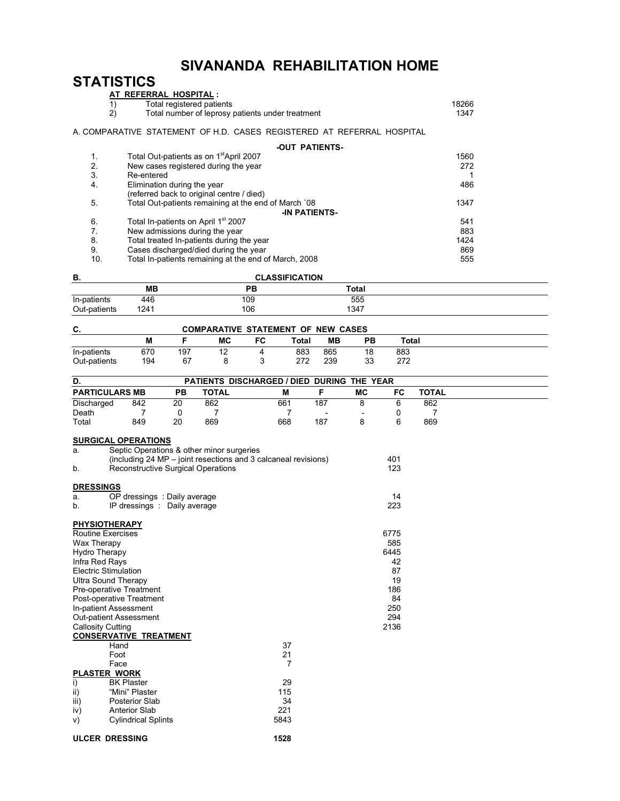# **SIVANANDA REHABILITATION HOME**

# **STATISTICS**

| AT REFERRAL HOSPITAL:                                                 |                                                                                                                                |
|-----------------------------------------------------------------------|--------------------------------------------------------------------------------------------------------------------------------|
| 1)<br>Total registered patients                                       | 18266                                                                                                                          |
| 2)<br>Total number of leprosy patients under treatment                | 1347                                                                                                                           |
| A COMPARATIVE STATEMENT OF H.D. CASES REGISTERED AT REFERRAL HOSPITAL |                                                                                                                                |
| -OUT PATIENTS-                                                        |                                                                                                                                |
| Total Out-patients as on 1 <sup>st</sup> April 2007                   | 1560                                                                                                                           |
| New cases registered during the year                                  | 272                                                                                                                            |
| Re-entered                                                            |                                                                                                                                |
| Elimination during the year                                           | 486                                                                                                                            |
| (referred back to original centre / died)                             |                                                                                                                                |
| Total Out-patients remaining at the end of March `08                  | 1347                                                                                                                           |
| <b>-IN PATIENTS-</b>                                                  |                                                                                                                                |
|                                                                       | 541                                                                                                                            |
|                                                                       | 883                                                                                                                            |
|                                                                       | 1424                                                                                                                           |
| Cases discharged/died during the year                                 | 869                                                                                                                            |
|                                                                       | Total In-patients on April 1 <sup>st</sup> 2007<br>New admissions during the year<br>Total treated In-patients during the year |

10. Total In-patients remaining at the end of March, 2008 **555** 

**ULCER DRESSING 1528**

| В.           |      | <b>CLASSIFICATION</b> |       |  |
|--------------|------|-----------------------|-------|--|
|              | MВ   | PВ                    | Total |  |
| In-patients  | 446  | 109                   | 555   |  |
| Out-patients | 1241 | 106                   | 1347  |  |

| C.           | <b>COMPARATIVE STATEMENT OF NEW CASES</b> |     |    |    |       |     |           |       |  |
|--------------|-------------------------------------------|-----|----|----|-------|-----|-----------|-------|--|
|              | М                                         |     | МC | FC | Total | ΜВ  | <b>PB</b> | Total |  |
| In-patients  | 670                                       | 197 | 12 | 4  | 883   | 865 | 18        | 883   |  |
| Out-patients | 194                                       | 67  |    |    | 272   | 239 | 33        | 272   |  |

| D.                                                                                                                                                                                                                                                                                                                                                                                                                                                                                                                                                          |           |              | PATIENTS DISCHARGED / DIED DURING THE YEAR                     |                          |           |                                                                          |              |  |
|-------------------------------------------------------------------------------------------------------------------------------------------------------------------------------------------------------------------------------------------------------------------------------------------------------------------------------------------------------------------------------------------------------------------------------------------------------------------------------------------------------------------------------------------------------------|-----------|--------------|----------------------------------------------------------------|--------------------------|-----------|--------------------------------------------------------------------------|--------------|--|
| <b>PARTICULARS MB</b>                                                                                                                                                                                                                                                                                                                                                                                                                                                                                                                                       | <b>PB</b> | <b>TOTAL</b> | M                                                              | F                        | <b>MC</b> | FC                                                                       | <b>TOTAL</b> |  |
| Discharged<br>842                                                                                                                                                                                                                                                                                                                                                                                                                                                                                                                                           | 20        | 862          | 661                                                            | 187                      | 8         | 6                                                                        | 862          |  |
| Death<br>7                                                                                                                                                                                                                                                                                                                                                                                                                                                                                                                                                  | 0         | 7            | 7                                                              | $\overline{\phantom{a}}$ |           | 0                                                                        | 7            |  |
| Total<br>849                                                                                                                                                                                                                                                                                                                                                                                                                                                                                                                                                | 20        | 869          | 668                                                            | 187                      | 8         | 6                                                                        | 869          |  |
| <b>SURGICAL OPERATIONS</b><br>Septic Operations & other minor surgeries<br>a.<br><b>Reconstructive Surgical Operations</b><br>b.                                                                                                                                                                                                                                                                                                                                                                                                                            |           |              | (including 24 MP – joint resections and 3 calcaneal revisions) |                          |           | 401<br>123                                                               |              |  |
| <b>DRESSINGS</b>                                                                                                                                                                                                                                                                                                                                                                                                                                                                                                                                            |           |              |                                                                |                          |           |                                                                          |              |  |
| OP dressings : Daily average<br>a.                                                                                                                                                                                                                                                                                                                                                                                                                                                                                                                          |           |              |                                                                |                          |           | 14                                                                       |              |  |
| IP dressings : Daily average<br>b.                                                                                                                                                                                                                                                                                                                                                                                                                                                                                                                          |           |              |                                                                |                          |           | 223                                                                      |              |  |
| <b>PHYSIOTHERAPY</b><br><b>Routine Exercises</b><br>Wax Therapy<br><b>Hydro Therapy</b><br>Infra Red Rays<br><b>Electric Stimulation</b><br><b>Ultra Sound Therapy</b><br>Pre-operative Treatment<br>Post-operative Treatment<br>In-patient Assessment<br><b>Out-patient Assessment</b><br><b>Callosity Cutting</b><br><b>CONSERVATIVE TREATMENT</b><br>Hand<br>Foot<br>Face<br><b>PLASTER WORK</b><br><b>BK Plaster</b><br>i)<br>"Mini" Plaster<br>ii)<br>iii)<br><b>Posterior Slab</b><br><b>Anterior Slab</b><br>iv)<br><b>Cylindrical Splints</b><br>V) |           |              | 37<br>21<br>$\overline{7}$<br>29<br>115<br>34<br>221<br>5843   |                          |           | 6775<br>585<br>6445<br>42<br>87<br>19<br>186<br>84<br>250<br>294<br>2136 |              |  |